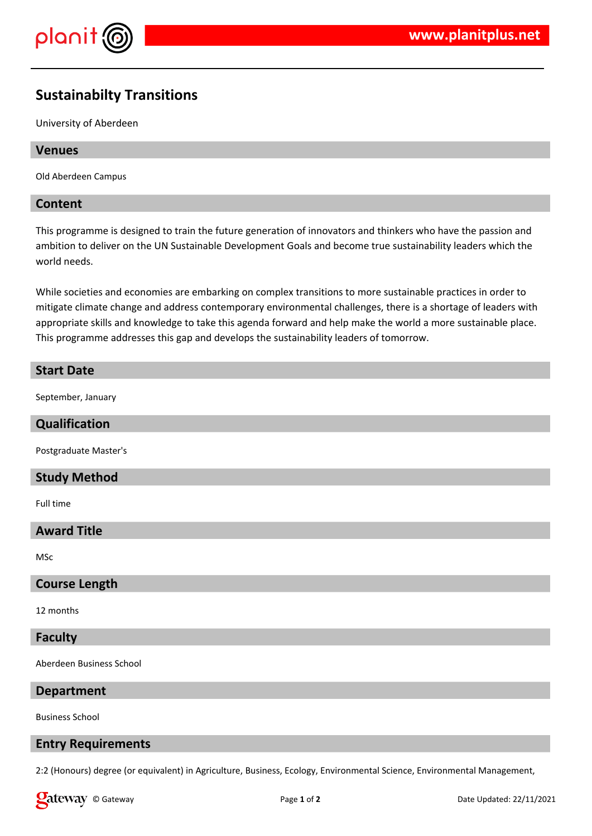

# **Sustainabilty Transitions**

University of Aberdeen

## **Venues**

Old Aberdeen Campus

### **Content**

This programme is designed to train the future generation of innovators and thinkers who have the passion and ambition to deliver on the UN Sustainable Development Goals and become true sustainability leaders which the world needs.

While societies and economies are embarking on complex transitions to more sustainable practices in order to mitigate climate change and address contemporary environmental challenges, there is a shortage of leaders with appropriate skills and knowledge to take this agenda forward and help make the world a more sustainable place. This programme addresses this gap and develops the sustainability leaders of tomorrow.

# **Start Date**

September, January

# **Qualification**

Postgraduate Master's

# **Study Method**

Full time

# **Award Title**

MSc

#### **Course Length**

12 months

## **Faculty**

Aberdeen Business School

#### **Department**

Business School

#### **Entry Requirements**

2:2 (Honours) degree (or equivalent) in Agriculture, Business, Ecology, Environmental Science, Environmental Management,